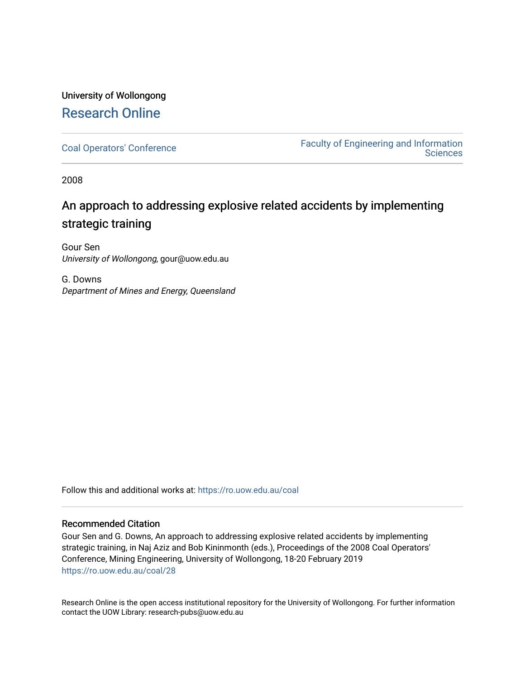# University of Wollongong [Research Online](https://ro.uow.edu.au/)

[Coal Operators' Conference](https://ro.uow.edu.au/coal) [Faculty of Engineering and Information](https://ro.uow.edu.au/eis)  **Sciences** 

2008

# An approach to addressing explosive related accidents by implementing strategic training

Gour Sen University of Wollongong, gour@uow.edu.au

G. Downs Department of Mines and Energy, Queensland

Follow this and additional works at: [https://ro.uow.edu.au/coal](https://ro.uow.edu.au/coal?utm_source=ro.uow.edu.au%2Fcoal%2F28&utm_medium=PDF&utm_campaign=PDFCoverPages) 

# Recommended Citation

Gour Sen and G. Downs, An approach to addressing explosive related accidents by implementing strategic training, in Naj Aziz and Bob Kininmonth (eds.), Proceedings of the 2008 Coal Operators' Conference, Mining Engineering, University of Wollongong, 18-20 February 2019 [https://ro.uow.edu.au/coal/28](https://ro.uow.edu.au/coal/28?utm_source=ro.uow.edu.au%2Fcoal%2F28&utm_medium=PDF&utm_campaign=PDFCoverPages) 

Research Online is the open access institutional repository for the University of Wollongong. For further information contact the UOW Library: research-pubs@uow.edu.au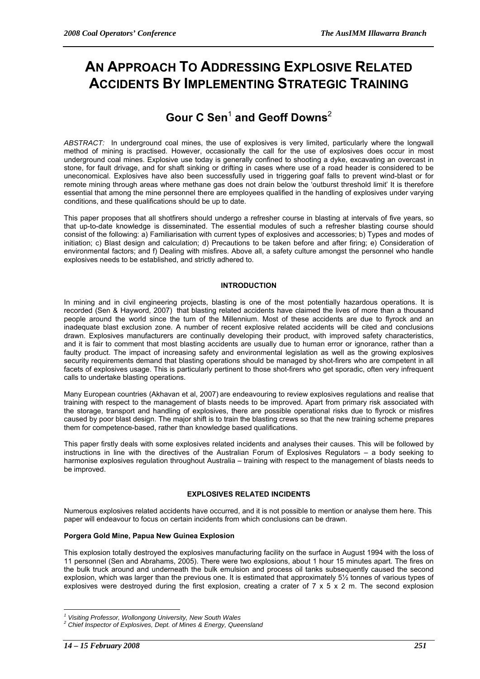# **AN APPROACH TO ADDRESSING EXPLOSIVE RELATED ACCIDENTS BY IMPLEMENTING STRATEGIC TRAINING**

# $\mathsf{Gour C Sen^1}$  and  $\mathsf{Geoff\,Downs^2}$

*ABSTRACT:* In underground coal mines, the use of explosives is very limited, particularly where the longwall method of mining is practised. However, occasionally the call for the use of explosives does occur in most underground coal mines. Explosive use today is generally confined to shooting a dyke, excavating an overcast in stone, for fault drivage, and for shaft sinking or drifting in cases where use of a road header is considered to be uneconomical. Explosives have also been successfully used in triggering goaf falls to prevent wind-blast or for remote mining through areas where methane gas does not drain below the 'outburst threshold limit' It is therefore essential that among the mine personnel there are employees qualified in the handling of explosives under varying conditions, and these qualifications should be up to date.

This paper proposes that all shotfirers should undergo a refresher course in blasting at intervals of five years, so that up-to-date knowledge is disseminated. The essential modules of such a refresher blasting course should consist of the following: a) Familiarisation with current types of explosives and accessories; b) Types and modes of initiation; c) Blast design and calculation; d) Precautions to be taken before and after firing; e) Consideration of environmental factors; and f) Dealing with misfires. Above all, a safety culture amongst the personnel who handle explosives needs to be established, and strictly adhered to.

# **INTRODUCTION**

In mining and in civil engineering projects, blasting is one of the most potentially hazardous operations. It is recorded (Sen & Hayword, 2007) that blasting related accidents have claimed the lives of more than a thousand people around the world since the turn of the Millennium. Most of these accidents are due to flyrock and an inadequate blast exclusion zone. A number of recent explosive related accidents will be cited and conclusions drawn. Explosives manufacturers are continually developing their product, with improved safety characteristics, and it is fair to comment that most blasting accidents are usually due to human error or ignorance, rather than a faulty product. The impact of increasing safety and environmental legislation as well as the growing explosives security requirements demand that blasting operations should be managed by shot-firers who are competent in all facets of explosives usage. This is particularly pertinent to those shot-firers who get sporadic, often very infrequent calls to undertake blasting operations.

Many European countries (Akhavan et al, 2007) are endeavouring to review explosives regulations and realise that training with respect to the management of blasts needs to be improved. Apart from primary risk associated with the storage, transport and handling of explosives, there are possible operational risks due to flyrock or misfires caused by poor blast design. The major shift is to train the blasting crews so that the new training scheme prepares them for competence-based, rather than knowledge based qualifications.

This paper firstly deals with some explosives related incidents and analyses their causes. This will be followed by instructions in line with the directives of the Australian Forum of Explosives Regulators – a body seeking to harmonise explosives regulation throughout Australia – training with respect to the management of blasts needs to be improved.

# **EXPLOSIVES RELATED INCIDENTS**

Numerous explosives related accidents have occurred, and it is not possible to mention or analyse them here. This paper will endeavour to focus on certain incidents from which conclusions can be drawn.

# **Porgera Gold Mine, Papua New Guinea Explosion**

This explosion totally destroyed the explosives manufacturing facility on the surface in August 1994 with the loss of 11 personnel (Sen and Abrahams, 2005). There were two explosions, about 1 hour 15 minutes apart. The fires on the bulk truck around and underneath the bulk emulsion and process oil tanks subsequently caused the second explosion, which was larger than the previous one. It is estimated that approximately 5½ tonnes of various types of explosives were destroyed during the first explosion, creating a crater of 7 x 5 x 2 m. The second explosion

 $\overline{a}$ 

<sup>&</sup>lt;sup>1</sup> Visiting Professor, Wollongong University, New South Wales<br><sup>2</sup> Chief Ipanestar of Explosives, Dant, of Mines & Energy, Quar

*Chief Inspector of Explosives, Dept. of Mines & Energy, Queensland*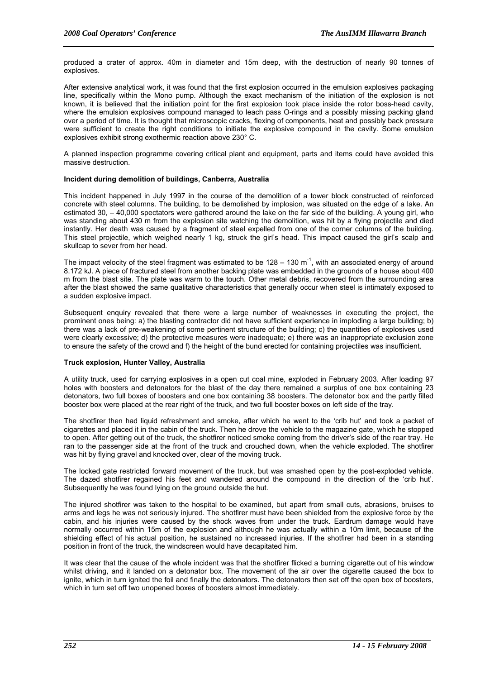produced a crater of approx. 40m in diameter and 15m deep, with the destruction of nearly 90 tonnes of explosives.

After extensive analytical work, it was found that the first explosion occurred in the emulsion explosives packaging line, specifically within the Mono pump. Although the exact mechanism of the initiation of the explosion is not known, it is believed that the initiation point for the first explosion took place inside the rotor boss-head cavity, where the emulsion explosives compound managed to leach pass O-rings and a possibly missing packing gland over a period of time. It is thought that microscopic cracks, flexing of components, heat and possibly back pressure were sufficient to create the right conditions to initiate the explosive compound in the cavity. Some emulsion explosives exhibit strong exothermic reaction above 230° C.

A planned inspection programme covering critical plant and equipment, parts and items could have avoided this massive destruction.

# **Incident during demolition of buildings, Canberra, Australia**

This incident happened in July 1997 in the course of the demolition of a tower block constructed of reinforced concrete with steel columns. The building, to be demolished by implosion, was situated on the edge of a lake. An estimated 30, – 40,000 spectators were gathered around the lake on the far side of the building. A young girl, who was standing about 430 m from the explosion site watching the demolition, was hit by a flying projectile and died instantly. Her death was caused by a fragment of steel expelled from one of the corner columns of the building. This steel projectile, which weighed nearly 1 kg, struck the girl's head. This impact caused the girl's scalp and skullcap to sever from her head.

The impact velocity of the steel fragment was estimated to be  $128 - 130$  m<sup>-1</sup>, with an associated energy of around 8.172 kJ. A piece of fractured steel from another backing plate was embedded in the grounds of a house about 400 m from the blast site. The plate was warm to the touch. Other metal debris, recovered from the surrounding area after the blast showed the same qualitative characteristics that generally occur when steel is intimately exposed to a sudden explosive impact.

Subsequent enquiry revealed that there were a large number of weaknesses in executing the project, the prominent ones being: a) the blasting contractor did not have sufficient experience in imploding a large building; b) there was a lack of pre-weakening of some pertinent structure of the building; c) the quantities of explosives used were clearly excessive; d) the protective measures were inadequate; e) there was an inappropriate exclusion zone to ensure the safety of the crowd and f) the height of the bund erected for containing projectiles was insufficient.

#### **Truck explosion, Hunter Valley, Australia**

A utility truck, used for carrying explosives in a open cut coal mine, exploded in February 2003. After loading 97 holes with boosters and detonators for the blast of the day there remained a surplus of one box containing 23 detonators, two full boxes of boosters and one box containing 38 boosters. The detonator box and the partly filled booster box were placed at the rear right of the truck, and two full booster boxes on left side of the tray.

The shotfirer then had liquid refreshment and smoke, after which he went to the 'crib hut' and took a packet of cigarettes and placed it in the cabin of the truck. Then he drove the vehicle to the magazine gate, which he stopped to open. After getting out of the truck, the shotfirer noticed smoke coming from the driver's side of the rear tray. He ran to the passenger side at the front of the truck and crouched down, when the vehicle exploded. The shotfirer was hit by flying gravel and knocked over, clear of the moving truck.

The locked gate restricted forward movement of the truck, but was smashed open by the post-exploded vehicle. The dazed shotfirer regained his feet and wandered around the compound in the direction of the 'crib hut'. Subsequently he was found lying on the ground outside the hut.

The injured shotfirer was taken to the hospital to be examined, but apart from small cuts, abrasions, bruises to arms and legs he was not seriously injured. The shotfirer must have been shielded from the explosive force by the cabin, and his injuries were caused by the shock waves from under the truck. Eardrum damage would have normally occurred within 15m of the explosion and although he was actually within a 10m limit, because of the shielding effect of his actual position, he sustained no increased injuries. If the shotfirer had been in a standing position in front of the truck, the windscreen would have decapitated him.

It was clear that the cause of the whole incident was that the shotfirer flicked a burning cigarette out of his window whilst driving, and it landed on a detonator box. The movement of the air over the cigarette caused the box to ignite, which in turn ignited the foil and finally the detonators. The detonators then set off the open box of boosters, which in turn set off two unopened boxes of boosters almost immediately.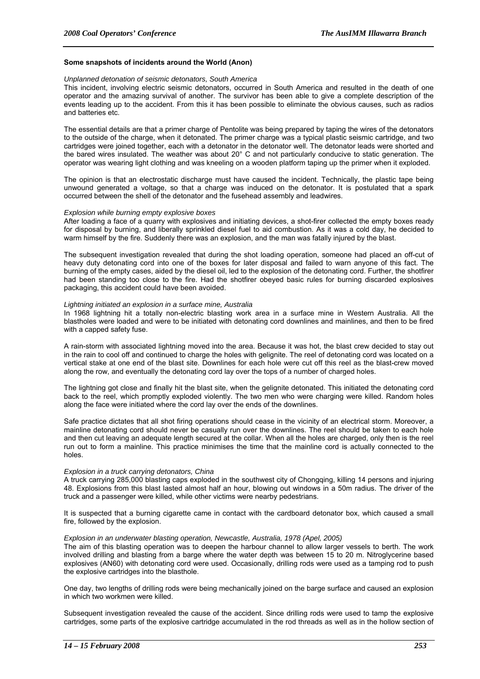### **Some snapshots of incidents around the World (Anon)**

### *Unplanned detonation of seismic detonators, South America*

This incident, involving electric seismic detonators, occurred in South America and resulted in the death of one operator and the amazing survival of another. The survivor has been able to give a complete description of the events leading up to the accident. From this it has been possible to eliminate the obvious causes, such as radios and batteries etc.

The essential details are that a primer charge of Pentolite was being prepared by taping the wires of the detonators to the outside of the charge, when it detonated. The primer charge was a typical plastic seismic cartridge, and two cartridges were joined together, each with a detonator in the detonator well. The detonator leads were shorted and the bared wires insulated. The weather was about 20° C and not particularly conducive to static generation. The operator was wearing light clothing and was kneeling on a wooden platform taping up the primer when it exploded.

The opinion is that an electrostatic discharge must have caused the incident. Technically, the plastic tape being unwound generated a voltage, so that a charge was induced on the detonator. It is postulated that a spark occurred between the shell of the detonator and the fusehead assembly and leadwires.

# *Explosion while burning empty explosive boxes*

After loading a face of a quarry with explosives and initiating devices, a shot-firer collected the empty boxes ready for disposal by burning, and liberally sprinkled diesel fuel to aid combustion. As it was a cold day, he decided to warm himself by the fire. Suddenly there was an explosion, and the man was fatally injured by the blast.

The subsequent investigation revealed that during the shot loading operation, someone had placed an off-cut of heavy duty detonating cord into one of the boxes for later disposal and failed to warn anyone of this fact. The burning of the empty cases, aided by the diesel oil, led to the explosion of the detonating cord. Further, the shotfirer had been standing too close to the fire. Had the shotfirer obeyed basic rules for burning discarded explosives packaging, this accident could have been avoided.

#### *Lightning initiated an explosion in a surface mine, Australia*

In 1968 lightning hit a totally non-electric blasting work area in a surface mine in Western Australia. All the blastholes were loaded and were to be initiated with detonating cord downlines and mainlines, and then to be fired with a capped safety fuse.

A rain-storm with associated lightning moved into the area. Because it was hot, the blast crew decided to stay out in the rain to cool off and continued to charge the holes with gelignite. The reel of detonating cord was located on a vertical stake at one end of the blast site. Downlines for each hole were cut off this reel as the blast-crew moved along the row, and eventually the detonating cord lay over the tops of a number of charged holes.

The lightning got close and finally hit the blast site, when the gelignite detonated. This initiated the detonating cord back to the reel, which promptly exploded violently. The two men who were charging were killed. Random holes along the face were initiated where the cord lay over the ends of the downlines.

Safe practice dictates that all shot firing operations should cease in the vicinity of an electrical storm. Moreover, a mainline detonating cord should never be casually run over the downlines. The reel should be taken to each hole and then cut leaving an adequate length secured at the collar. When all the holes are charged, only then is the reel run out to form a mainline. This practice minimises the time that the mainline cord is actually connected to the holes.

#### *Explosion in a truck carrying detonators, China*

A truck carrying 285,000 blasting caps exploded in the southwest city of Chongqing, killing 14 persons and injuring 48. Explosions from this blast lasted almost half an hour, blowing out windows in a 50m radius. The driver of the truck and a passenger were killed, while other victims were nearby pedestrians.

It is suspected that a burning cigarette came in contact with the cardboard detonator box, which caused a small fire, followed by the explosion.

#### *Explosion in an underwater blasting operation, Newcastle, Australia, 1978 (Apel, 2005)*

The aim of this blasting operation was to deepen the harbour channel to allow larger vessels to berth. The work involved drilling and blasting from a barge where the water depth was between 15 to 20 m. Nitroglycerine based explosives (AN60) with detonating cord were used. Occasionally, drilling rods were used as a tamping rod to push the explosive cartridges into the blasthole.

One day, two lengths of drilling rods were being mechanically joined on the barge surface and caused an explosion in which two workmen were killed.

Subsequent investigation revealed the cause of the accident. Since drilling rods were used to tamp the explosive cartridges, some parts of the explosive cartridge accumulated in the rod threads as well as in the hollow section of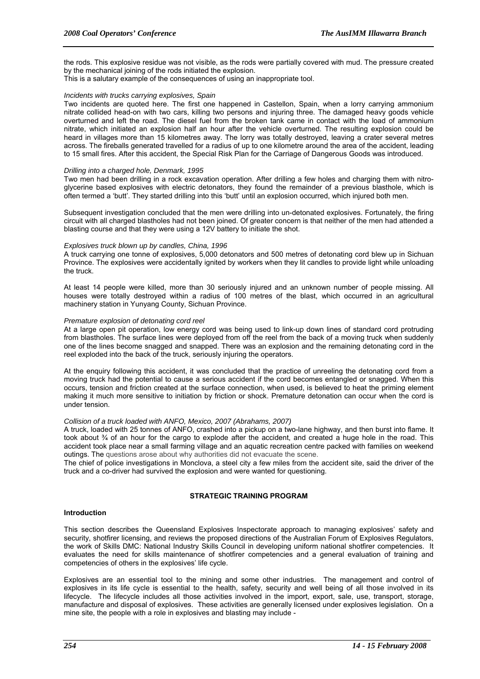the rods. This explosive residue was not visible, as the rods were partially covered with mud. The pressure created by the mechanical joining of the rods initiated the explosion.

This is a salutary example of the consequences of using an inappropriate tool.

### *Incidents with trucks carrying explosives, Spain*

Two incidents are quoted here. The first one happened in Castellon, Spain, when a lorry carrying ammonium nitrate collided head-on with two cars, killing two persons and injuring three. The damaged heavy goods vehicle overturned and left the road. The diesel fuel from the broken tank came in contact with the load of ammonium nitrate, which initiated an explosion half an hour after the vehicle overturned. The resulting explosion could be heard in villages more than 15 kilometres away. The lorry was totally destroyed, leaving a crater several metres across. The fireballs generated travelled for a radius of up to one kilometre around the area of the accident, leading to 15 small fires. After this accident, the Special Risk Plan for the Carriage of Dangerous Goods was introduced.

# *Drilling into a charged hole, Denmark, 1995*

Two men had been drilling in a rock excavation operation. After drilling a few holes and charging them with nitroglycerine based explosives with electric detonators, they found the remainder of a previous blasthole, which is often termed a 'butt'. They started drilling into this 'butt' until an explosion occurred, which injured both men.

Subsequent investigation concluded that the men were drilling into un-detonated explosives. Fortunately, the firing circuit with all charged blastholes had not been joined. Of greater concern is that neither of the men had attended a blasting course and that they were using a 12V battery to initiate the shot.

# *Explosives truck blown up by candles, China, 1996*

A truck carrying one tonne of explosives, 5,000 detonators and 500 metres of detonating cord blew up in Sichuan Province. The explosives were accidentally ignited by workers when they lit candles to provide light while unloading the truck.

At least 14 people were killed, more than 30 seriously injured and an unknown number of people missing. All houses were totally destroyed within a radius of 100 metres of the blast, which occurred in an agricultural machinery station in Yunyang County, Sichuan Province.

# *Premature explosion of detonating cord reel*

At a large open pit operation, low energy cord was being used to link-up down lines of standard cord protruding from blastholes. The surface lines were deployed from off the reel from the back of a moving truck when suddenly one of the lines become snagged and snapped. There was an explosion and the remaining detonating cord in the reel exploded into the back of the truck, seriously injuring the operators.

At the enquiry following this accident, it was concluded that the practice of unreeling the detonating cord from a moving truck had the potential to cause a serious accident if the cord becomes entangled or snagged. When this occurs, tension and friction created at the surface connection, when used, is believed to heat the priming element making it much more sensitive to initiation by friction or shock. Premature detonation can occur when the cord is under tension.

### *Collision of a truck loaded with ANFO, Mexico, 2007 (Abrahams, 2007)*

A truck, loaded with 25 tonnes of ANFO, crashed into a pickup on a two-lane highway, and then burst into flame. It took about <sup>3</sup>/<sub>4</sub> of an hour for the cargo to explode after the accident, and created a huge hole in the road. This accident took place near a small farming village and an aquatic recreation centre packed with families on weekend outings. The questions arose about why authorities did not evacuate the scene.

The chief of police investigations in Monclova, a steel city a few miles from the accident site, said the driver of the truck and a co-driver had survived the explosion and were wanted for questioning.

# **STRATEGIC TRAINING PROGRAM**

# **Introduction**

This section describes the Queensland Explosives Inspectorate approach to managing explosives' safety and security, shotfirer licensing, and reviews the proposed directions of the Australian Forum of Explosives Regulators, the work of Skills DMC: National Industry Skills Council in developing uniform national shotfirer competencies. It evaluates the need for skills maintenance of shotfirer competencies and a general evaluation of training and competencies of others in the explosives' life cycle.

Explosives are an essential tool to the mining and some other industries. The management and control of explosives in its life cycle is essential to the health, safety, security and well being of all those involved in its lifecycle. The lifecycle includes all those activities involved in the import, export, sale, use, transport, storage, manufacture and disposal of explosives. These activities are generally licensed under explosives legislation. On a mine site, the people with a role in explosives and blasting may include -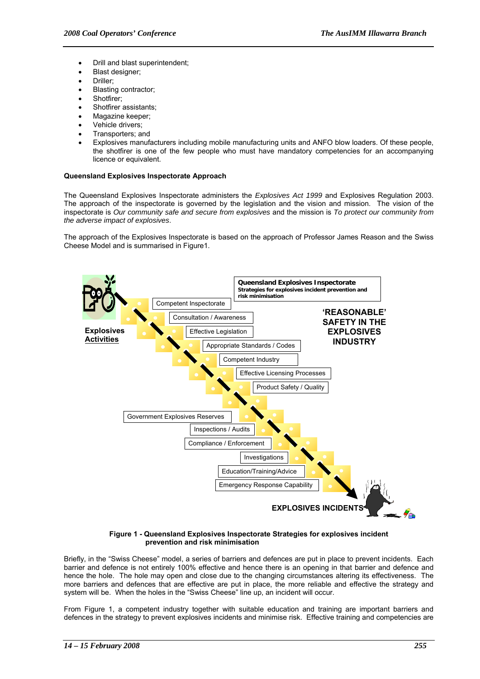- Drill and blast superintendent;
- Blast designer;
- Driller;
- Blasting contractor;
- Shotfirer;
- Shotfirer assistants;
- Magazine keeper;
- Vehicle drivers:
- Transporters; and
- Explosives manufacturers including mobile manufacturing units and ANFO blow loaders. Of these people, the shotfirer is one of the few people who must have mandatory competencies for an accompanying licence or equivalent.

# **Queensland Explosives Inspectorate Approach**

The Queensland Explosives Inspectorate administers the *Explosives Act 1999* and Explosives Regulation 2003. The approach of the inspectorate is governed by the legislation and the vision and mission. The vision of the inspectorate is *Our community safe and secure from explosives* and the mission is *To protect our community from the adverse impact of explosives*.

The approach of the Explosives Inspectorate is based on the approach of Professor James Reason and the Swiss Cheese Model and is summarised in Figure1.



#### **Figure 1 - Queensland Explosives Inspectorate Strategies for explosives incident prevention and risk minimisation**

Briefly, in the "Swiss Cheese" model, a series of barriers and defences are put in place to prevent incidents. Each barrier and defence is not entirely 100% effective and hence there is an opening in that barrier and defence and hence the hole. The hole may open and close due to the changing circumstances altering its effectiveness. The more barriers and defences that are effective are put in place, the more reliable and effective the strategy and system will be. When the holes in the "Swiss Cheese" line up, an incident will occur.

From Figure 1, a competent industry together with suitable education and training are important barriers and defences in the strategy to prevent explosives incidents and minimise risk. Effective training and competencies are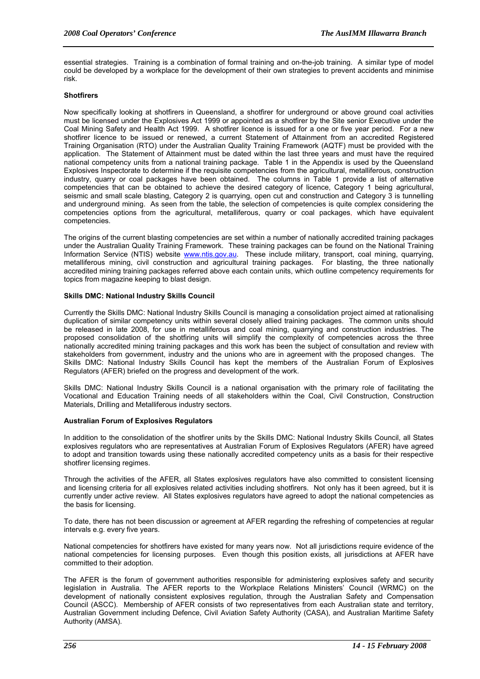essential strategies. Training is a combination of formal training and on-the-job training. A similar type of model could be developed by a workplace for the development of their own strategies to prevent accidents and minimise risk.

# **Shotfirers**

Now specifically looking at shotfirers in Queensland, a shotfirer for underground or above ground coal activities must be licensed under the Explosives Act 1999 or appointed as a shotfirer by the Site senior Executive under the Coal Mining Safety and Health Act 1999. A shotfirer licence is issued for a one or five year period. For a new shotfirer licence to be issued or renewed, a current Statement of Attainment from an accredited Registered Training Organisation (RTO) under the Australian Quality Training Framework (AQTF) must be provided with the application. The Statement of Attainment must be dated within the last three years and must have the required national competency units from a national training package. Table 1 in the Appendix is used by the Queensland Explosives Inspectorate to determine if the requisite competencies from the agricultural, metalliferous, construction industry, quarry or coal packages have been obtained. The columns in Table 1 provide a list of alternative competencies that can be obtained to achieve the desired category of licence, Category 1 being agricultural, seismic and small scale blasting, Category 2 is quarrying, open cut and construction and Category 3 is tunnelling and underground mining. As seen from the table, the selection of competencies is quite complex considering the competencies options from the agricultural, metalliferous, quarry or coal packages, which have equivalent competencies.

The origins of the current blasting competencies are set within a number of nationally accredited training packages under the Australian Quality Training Framework. These training packages can be found on the National Training Information Service (NTIS) website www.ntis.gov.au. These include military, transport, coal mining, quarrying, metalliferous mining, civil construction and agricultural training packages. For blasting, the three nationally accredited mining training packages referred above each contain units, which outline competency requirements for topics from magazine keeping to blast design.

# **Skills DMC: National Industry Skills Council**

Currently the Skills DMC: National Industry Skills Council is managing a consolidation project aimed at rationalising duplication of similar competency units within several closely allied training packages. The common units should be released in late 2008, for use in metalliferous and coal mining, quarrying and construction industries. The proposed consolidation of the shotfiring units will simplify the complexity of competencies across the three nationally accredited mining training packages and this work has been the subject of consultation and review with stakeholders from government, industry and the unions who are in agreement with the proposed changes. The Skills DMC: National Industry Skills Council has kept the members of the Australian Forum of Explosives Regulators (AFER) briefed on the progress and development of the work.

Skills DMC: National Industry Skills Council is a national organisation with the primary role of facilitating the Vocational and Education Training needs of all stakeholders within the Coal, Civil Construction, Construction Materials, Drilling and Metalliferous industry sectors.

#### **Australian Forum of Explosives Regulators**

In addition to the consolidation of the shotfirer units by the Skills DMC: National Industry Skills Council, all States explosives regulators who are representatives at Australian Forum of Explosives Regulators (AFER) have agreed to adopt and transition towards using these nationally accredited competency units as a basis for their respective shotfirer licensing regimes.

Through the activities of the AFER, all States explosives regulators have also committed to consistent licensing and licensing criteria for all explosives related activities including shotfirers. Not only has it been agreed, but it is currently under active review. All States explosives regulators have agreed to adopt the national competencies as the basis for licensing.

To date, there has not been discussion or agreement at AFER regarding the refreshing of competencies at regular intervals e.g. every five years.

National competencies for shotfirers have existed for many years now. Not all jurisdictions require evidence of the national competencies for licensing purposes. Even though this position exists, all jurisdictions at AFER have committed to their adoption.

The AFER is the forum of government authorities responsible for administering explosives safety and security legislation in Australia. The AFER reports to the Workplace Relations Ministers' Council (WRMC) on the development of nationally consistent explosives regulation, through the Australian Safety and Compensation Council (ASCC). Membership of AFER consists of two representatives from each Australian state and territory, Australian Government including Defence, Civil Aviation Safety Authority (CASA), and Australian Maritime Safety Authority (AMSA).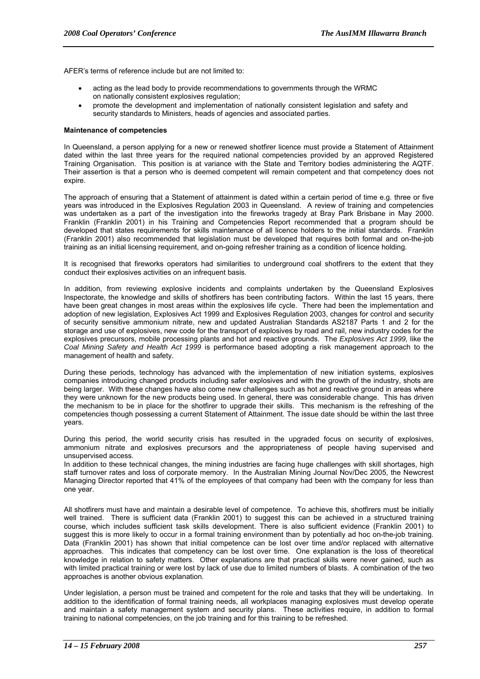AFER's terms of reference include but are not limited to:

- acting as the lead body to provide recommendations to governments through the WRMC on nationally consistent explosives regulation;
- promote the development and implementation of nationally consistent legislation and safety and security standards to Ministers, heads of agencies and associated parties.

### **Maintenance of competencies**

In Queensland, a person applying for a new or renewed shotfirer licence must provide a Statement of Attainment dated within the last three years for the required national competencies provided by an approved Registered Training Organisation. This position is at variance with the State and Territory bodies administering the AQTF. Their assertion is that a person who is deemed competent will remain competent and that competency does not expire.

The approach of ensuring that a Statement of attainment is dated within a certain period of time e.g. three or five years was introduced in the Explosives Regulation 2003 in Queensland. A review of training and competencies was undertaken as a part of the investigation into the fireworks tragedy at Bray Park Brisbane in May 2000. Franklin (Franklin 2001) in his Training and Competencies Report recommended that a program should be developed that states requirements for skills maintenance of all licence holders to the initial standards. Franklin (Franklin 2001) also recommended that legislation must be developed that requires both formal and on-the-job training as an initial licensing requirement, and on-going refresher training as a condition of licence holding.

It is recognised that fireworks operators had similarities to underground coal shotfirers to the extent that they conduct their explosives activities on an infrequent basis.

In addition, from reviewing explosive incidents and complaints undertaken by the Queensland Explosives Inspectorate, the knowledge and skills of shotfirers has been contributing factors. Within the last 15 years, there have been great changes in most areas within the explosives life cycle. There had been the implementation and adoption of new legislation, Explosives Act 1999 and Explosives Regulation 2003, changes for control and security of security sensitive ammonium nitrate, new and updated Australian Standards AS2187 Parts 1 and 2 for the storage and use of explosives, new code for the transport of explosives by road and rail, new industry codes for the explosives precursors, mobile processing plants and hot and reactive grounds. The *Explosives Act 1999,* like the *Coal Mining Safety and Health Act 1999* is performance based adopting a risk management approach to the management of health and safety.

During these periods, technology has advanced with the implementation of new initiation systems, explosives companies introducing changed products including safer explosives and with the growth of the industry, shots are being larger. With these changes have also come new challenges such as hot and reactive ground in areas where they were unknown for the new products being used. In general, there was considerable change. This has driven the mechanism to be in place for the shotfirer to upgrade their skills. This mechanism is the refreshing of the competencies though possessing a current Statement of Attainment. The issue date should be within the last three years.

During this period, the world security crisis has resulted in the upgraded focus on security of explosives, ammonium nitrate and explosives precursors and the appropriateness of people having supervised and unsupervised access.

In addition to these technical changes, the mining industries are facing huge challenges with skill shortages, high staff turnover rates and loss of corporate memory. In the Australian Mining Journal Nov/Dec 2005, the Newcrest Managing Director reported that 41% of the employees of that company had been with the company for less than one year.

All shotfirers must have and maintain a desirable level of competence. To achieve this, shotfirers must be initially well trained. There is sufficient data (Franklin 2001) to suggest this can be achieved in a structured training course, which includes sufficient task skills development. There is also sufficient evidence (Franklin 2001) to suggest this is more likely to occur in a formal training environment than by potentially ad hoc on-the-job training. Data (Franklin 2001) has shown that initial competence can be lost over time and/or replaced with alternative approaches. This indicates that competency can be lost over time. One explanation is the loss of theoretical knowledge in relation to safety matters. Other explanations are that practical skills were never gained, such as with limited practical training or were lost by lack of use due to limited numbers of blasts. A combination of the two approaches is another obvious explanation.

Under legislation, a person must be trained and competent for the role and tasks that they will be undertaking. In addition to the identification of formal training needs, all workplaces managing explosives must develop operate and maintain a safety management system and security plans. These activities require, in addition to formal training to national competencies, on the job training and for this training to be refreshed.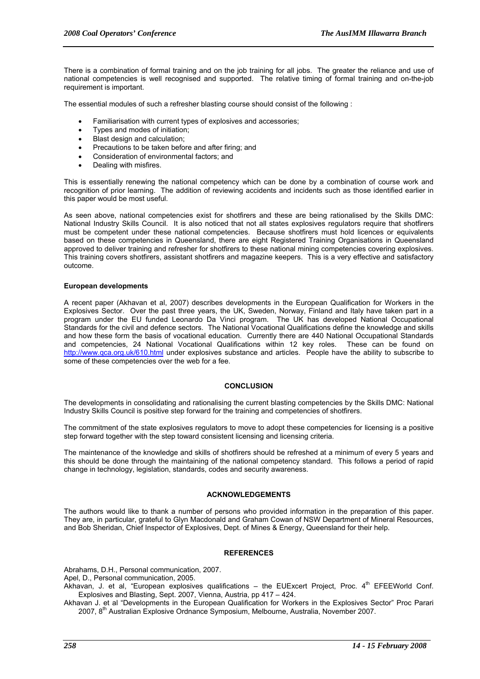There is a combination of formal training and on the job training for all jobs. The greater the reliance and use of national competencies is well recognised and supported. The relative timing of formal training and on-the-job requirement is important.

The essential modules of such a refresher blasting course should consist of the following :

- Familiarisation with current types of explosives and accessories;
- Types and modes of initiation;
- Blast design and calculation:
- Precautions to be taken before and after firing; and
- Consideration of environmental factors; and
- Dealing with misfires.

This is essentially renewing the national competency which can be done by a combination of course work and recognition of prior learning. The addition of reviewing accidents and incidents such as those identified earlier in this paper would be most useful.

As seen above, national competencies exist for shotfirers and these are being rationalised by the Skills DMC: National Industry Skills Council. It is also noticed that not all states explosives regulators require that shotfirers must be competent under these national competencies. Because shotfirers must hold licences or equivalents based on these competencies in Queensland, there are eight Registered Training Organisations in Queensland approved to deliver training and refresher for shotfirers to these national mining competencies covering explosives. This training covers shotfirers, assistant shotfirers and magazine keepers. This is a very effective and satisfactory outcome.

# **European developments**

A recent paper (Akhavan et al, 2007) describes developments in the European Qualification for Workers in the Explosives Sector. Over the past three years, the UK, Sweden, Norway, Finland and Italy have taken part in a program under the EU funded Leonardo Da Vinci program. The UK has developed National Occupational Standards for the civil and defence sectors. The National Vocational Qualifications define the knowledge and skills and how these form the basis of vocational education. Currently there are 440 National Occupational Standards and competencies, 24 National Vocational Qualifications within 12 key roles. These can be found on http://www.qca.org.uk/610.html under explosives substance and articles. People have the ability to subscribe to some of these competencies over the web for a fee.

# **CONCLUSION**

The developments in consolidating and rationalising the current blasting competencies by the Skills DMC: National Industry Skills Council is positive step forward for the training and competencies of shotfirers.

The commitment of the state explosives regulators to move to adopt these competencies for licensing is a positive step forward together with the step toward consistent licensing and licensing criteria.

The maintenance of the knowledge and skills of shotfirers should be refreshed at a minimum of every 5 years and this should be done through the maintaining of the national competency standard. This follows a period of rapid change in technology, legislation, standards, codes and security awareness.

# **ACKNOWLEDGEMENTS**

The authors would like to thank a number of persons who provided information in the preparation of this paper. They are, in particular, grateful to Glyn Macdonald and Graham Cowan of NSW Department of Mineral Resources, and Bob Sheridan, Chief Inspector of Explosives, Dept. of Mines & Energy, Queensland for their help.

# **REFERENCES**

Abrahams, D.H., Personal communication, 2007.

Apel, D., Personal communication, 2005.

Akhavan, J. et al, "European explosives qualifications – the EUExcert Project, Proc. 4th EFEEWorld Conf. Explosives and Blasting, Sept. 2007, Vienna, Austria, pp 417 – 424.

Akhavan J. et al "Developments in the European Qualification for Workers in the Explosives Sector" Proc Parari 2007, 8th Australian Explosive Ordnance Symposium, Melbourne, Australia, November 2007.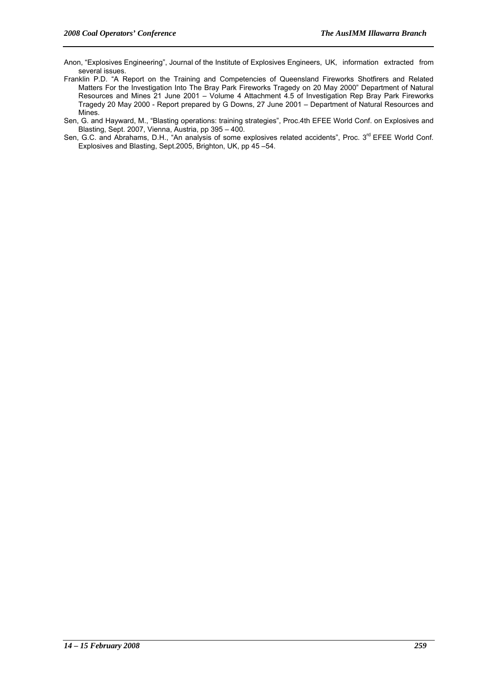- Anon, "Explosives Engineering", Journal of the Institute of Explosives Engineers, UK, information extracted from several issues.
- Franklin P.D. "A Report on the Training and Competencies of Queensland Fireworks Shotfirers and Related Matters For the Investigation Into The Bray Park Fireworks Tragedy on 20 May 2000" Department of Natural Resources and Mines 21 June 2001 – Volume 4 Attachment 4.5 of Investigation Rep Bray Park Fireworks Tragedy 20 May 2000 - Report prepared by G Downs, 27 June 2001 – Department of Natural Resources and Mines.
- Sen, G. and Hayward, M., "Blasting operations: training strategies", Proc.4th EFEE World Conf. on Explosives and Blasting, Sept. 2007, Vienna, Austria, pp 395 – 400.
- Sen, G.C. and Abrahams, D.H., "An analysis of some explosives related accidents", Proc. 3<sup>rd</sup> EFEE World Conf. Explosives and Blasting, Sept.2005, Brighton, UK, pp 45 –54.